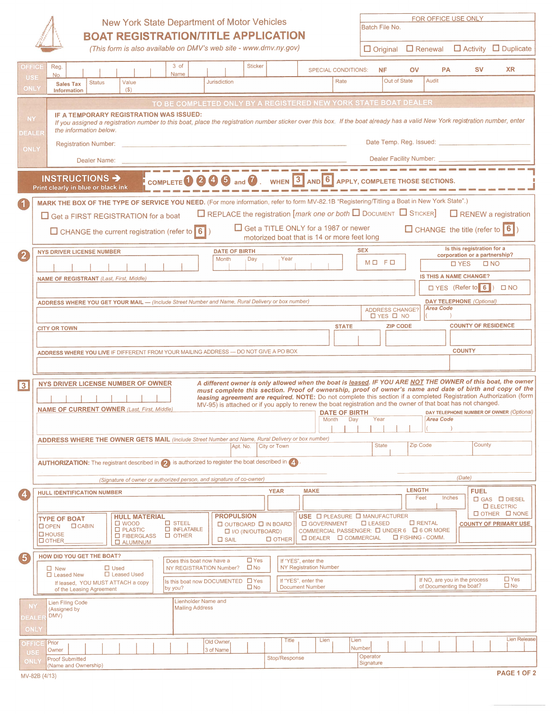

## New York State Department of Motor Vehicles BOAT REGISTRATION/TITLE APPLICATION

|                                        |               | New York State Department of Motor Vehicles |              |                     |                | <b>BOAT REGISTRATION/TITLE APPLICATION</b>                       |                            |  | Batch File No. |    |           | FOR OFFICE USE ONLY                                             |           |  |
|----------------------------------------|---------------|---------------------------------------------|--------------|---------------------|----------------|------------------------------------------------------------------|----------------------------|--|----------------|----|-----------|-----------------------------------------------------------------|-----------|--|
|                                        |               |                                             |              |                     |                | (This form is also available on DMV's web site - www.dmv.ny.gov) |                            |  |                |    |           | $\Box$ Original $\Box$ Renewal $\Box$ Activity $\Box$ Duplicate |           |  |
| Reg.<br>No.                            |               |                                             | 3 of<br>Name |                     | <b>Sticker</b> |                                                                  | <b>SPECIAL CONDITIONS:</b> |  | <b>NF</b>      | OV | <b>PA</b> | <b>SV</b>                                                       | <b>XR</b> |  |
| <b>Sales Tax</b><br><b>Information</b> | <b>Status</b> | Value<br>(\$)                               |              | <b>Jurisdiction</b> |                |                                                                  | Rate                       |  | Out of State   |    | Audit     |                                                                 |           |  |
|                                        |               |                                             |              |                     |                | TO BE COMPLETED ONLY BY A REGISTERED NEW YORK STATE BOAT DEALER  |                            |  |                |    |           |                                                                 |           |  |

|                   |                           | No.                                                                                                                                          |                                                                                                                                                                                                                                                   |                                                                                                           |                 | Name                                                                 |                     |                                                                                               |                     |              |               |                                               |       |                                                                                                                                                                                                                                                                                                                                                                                                                                                                                              |                       |                                                |                       |                                                           |        |                                 |                                                                               |                            |  |
|-------------------|---------------------------|----------------------------------------------------------------------------------------------------------------------------------------------|---------------------------------------------------------------------------------------------------------------------------------------------------------------------------------------------------------------------------------------------------|-----------------------------------------------------------------------------------------------------------|-----------------|----------------------------------------------------------------------|---------------------|-----------------------------------------------------------------------------------------------|---------------------|--------------|---------------|-----------------------------------------------|-------|----------------------------------------------------------------------------------------------------------------------------------------------------------------------------------------------------------------------------------------------------------------------------------------------------------------------------------------------------------------------------------------------------------------------------------------------------------------------------------------------|-----------------------|------------------------------------------------|-----------------------|-----------------------------------------------------------|--------|---------------------------------|-------------------------------------------------------------------------------|----------------------------|--|
|                   | <b>USE</b><br><b>ONLY</b> | <b>Sales Tax</b><br>Information                                                                                                              | <b>Status</b>                                                                                                                                                                                                                                     | Value<br>(S)                                                                                              |                 |                                                                      | <b>Jurisdiction</b> |                                                                                               |                     |              |               |                                               |       | Rate                                                                                                                                                                                                                                                                                                                                                                                                                                                                                         |                       | Out of State                                   |                       | Audit                                                     |        |                                 |                                                                               |                            |  |
|                   |                           |                                                                                                                                              |                                                                                                                                                                                                                                                   |                                                                                                           |                 |                                                                      |                     |                                                                                               |                     |              |               |                                               |       | TO BE COMPLETED ONLY BY A REGISTERED NEW YORK STATE BOAT DEALER                                                                                                                                                                                                                                                                                                                                                                                                                              |                       |                                                |                       |                                                           |        |                                 |                                                                               |                            |  |
|                   | NY<br>EALER               |                                                                                                                                              | IF A TEMPORARY REGISTRATION WAS ISSUED:<br>If you assigned a registration number to this boat, place the registration number sticker over this box. If the boat already has a valid New York registration number, enter<br>the information below. |                                                                                                           |                 |                                                                      |                     |                                                                                               |                     |              |               |                                               |       |                                                                                                                                                                                                                                                                                                                                                                                                                                                                                              |                       |                                                |                       |                                                           |        |                                 |                                                                               |                            |  |
|                   | <b>ONLY</b>               |                                                                                                                                              | <b>Registration Number:</b>                                                                                                                                                                                                                       |                                                                                                           |                 |                                                                      |                     |                                                                                               |                     |              |               |                                               |       |                                                                                                                                                                                                                                                                                                                                                                                                                                                                                              |                       |                                                |                       | Date Temp. Reg. Issued: <b>Campbell</b>                   |        |                                 |                                                                               |                            |  |
|                   |                           |                                                                                                                                              | Dealer Name:                                                                                                                                                                                                                                      |                                                                                                           |                 |                                                                      |                     |                                                                                               |                     |              |               |                                               |       |                                                                                                                                                                                                                                                                                                                                                                                                                                                                                              |                       |                                                |                       | Dealer Facility Number: __                                |        |                                 |                                                                               |                            |  |
|                   |                           | INSTRUCTIONS ><br>Print clearly in blue or black ink                                                                                         |                                                                                                                                                                                                                                                   |                                                                                                           | <b>COMPLETE</b> |                                                                      |                     | (5)                                                                                           | and $\mathcal{U}$ . |              |               |                                               |       | WHEN 3 AND 6 APPLY, COMPLETE THOSE SECTIONS.                                                                                                                                                                                                                                                                                                                                                                                                                                                 |                       |                                                |                       |                                                           |        |                                 |                                                                               |                            |  |
|                   |                           | MARK THE BOX OF THE TYPE OF SERVICE YOU NEED. (For more information, refer to form MV-82.1B "Registering/Titling a Boat in New York State".) |                                                                                                                                                                                                                                                   |                                                                                                           |                 |                                                                      |                     |                                                                                               |                     |              |               |                                               |       |                                                                                                                                                                                                                                                                                                                                                                                                                                                                                              |                       |                                                |                       |                                                           |        |                                 |                                                                               |                            |  |
|                   |                           | $\Box$ Get a FIRST REGISTRATION for a boat                                                                                                   |                                                                                                                                                                                                                                                   |                                                                                                           |                 |                                                                      |                     |                                                                                               |                     |              |               |                                               |       | $\Box$ REPLACE the registration [mark one or both $\Box$ Document $\Box$ STICKER] $\Box$ RENEW a registration                                                                                                                                                                                                                                                                                                                                                                                |                       |                                                |                       |                                                           |        |                                 |                                                                               |                            |  |
|                   |                           | □ CHANGE the current registration (refer to 6)                                                                                               |                                                                                                                                                                                                                                                   |                                                                                                           |                 |                                                                      |                     |                                                                                               |                     |              |               |                                               |       | Get a TITLE ONLY for a 1987 or newer<br>motorized boat that is 14 or more feet long                                                                                                                                                                                                                                                                                                                                                                                                          |                       |                                                |                       |                                                           |        |                                 | $\Box$ CHANGE the title (refer to $\boxed{6}$ )<br>Is this registration for a |                            |  |
| (2)               |                           | <b>NYS DRIVER LICENSE NUMBER</b>                                                                                                             |                                                                                                                                                                                                                                                   |                                                                                                           |                 |                                                                      |                     | <b>DATE OF BIRTH</b><br>Month                                                                 | Day                 |              | Year          |                                               |       |                                                                                                                                                                                                                                                                                                                                                                                                                                                                                              | <b>SEX</b><br>MO FO   |                                                |                       |                                                           |        |                                 | corporation or a partnership?                                                 |                            |  |
|                   |                           |                                                                                                                                              |                                                                                                                                                                                                                                                   |                                                                                                           |                 |                                                                      |                     |                                                                                               |                     |              |               |                                               |       |                                                                                                                                                                                                                                                                                                                                                                                                                                                                                              |                       |                                                |                       | <b>IS THIS A NAME CHANGE?</b>                             |        | <b>D</b> YES                    | $\square$ NO                                                                  |                            |  |
|                   |                           | <b>NAME OF REGISTRANT</b> (Last, First, Middle)                                                                                              |                                                                                                                                                                                                                                                   |                                                                                                           |                 |                                                                      |                     |                                                                                               |                     |              |               |                                               |       |                                                                                                                                                                                                                                                                                                                                                                                                                                                                                              |                       |                                                |                       |                                                           |        | $\Box$ YES (Refer to 6)         |                                                                               | $\Box$ NO                  |  |
|                   |                           | ADDRESS WHERE YOU GET YOUR MAIL - (Include Street Number and Name, Rural Delivery or box number)                                             |                                                                                                                                                                                                                                                   |                                                                                                           |                 |                                                                      |                     |                                                                                               |                     |              |               |                                               |       |                                                                                                                                                                                                                                                                                                                                                                                                                                                                                              |                       |                                                |                       |                                                           |        | <b>DAY TELEPHONE</b> (Optional) |                                                                               |                            |  |
|                   |                           |                                                                                                                                              |                                                                                                                                                                                                                                                   |                                                                                                           |                 |                                                                      |                     |                                                                                               |                     |              |               |                                               |       |                                                                                                                                                                                                                                                                                                                                                                                                                                                                                              |                       | <b>ADDRESS CHANGE?</b><br>$\Box$ YES $\Box$ NO |                       | <b>Area Code</b>                                          |        |                                 |                                                                               |                            |  |
|                   |                           | <b>CITY OR TOWN</b>                                                                                                                          |                                                                                                                                                                                                                                                   |                                                                                                           |                 |                                                                      |                     |                                                                                               |                     |              |               |                                               |       | <b>STATE</b>                                                                                                                                                                                                                                                                                                                                                                                                                                                                                 |                       | <b>ZIP CODE</b>                                |                       |                                                           |        |                                 | <b>COUNTY OF RESIDENCE</b>                                                    |                            |  |
|                   |                           |                                                                                                                                              |                                                                                                                                                                                                                                                   |                                                                                                           |                 |                                                                      |                     |                                                                                               |                     |              |               |                                               |       |                                                                                                                                                                                                                                                                                                                                                                                                                                                                                              |                       |                                                |                       |                                                           |        |                                 |                                                                               |                            |  |
|                   |                           | ADDRESS WHERE YOU LIVE IF DIFFERENT FROM YOUR MAILING ADDRESS - DO NOT GIVE A PO BOX                                                         |                                                                                                                                                                                                                                                   |                                                                                                           |                 |                                                                      |                     |                                                                                               |                     |              |               |                                               |       |                                                                                                                                                                                                                                                                                                                                                                                                                                                                                              |                       |                                                |                       |                                                           |        | <b>COUNTY</b>                   |                                                                               |                            |  |
|                   |                           |                                                                                                                                              |                                                                                                                                                                                                                                                   |                                                                                                           |                 |                                                                      |                     |                                                                                               |                     |              |               |                                               |       |                                                                                                                                                                                                                                                                                                                                                                                                                                                                                              |                       |                                                |                       |                                                           |        |                                 |                                                                               |                            |  |
| $\sqrt{3}$        |                           | NYS DRIVER LICENSE NUMBER OF OWNER<br><b>NAME OF CURRENT OWNER (Last, First, Middle)</b>                                                     |                                                                                                                                                                                                                                                   |                                                                                                           |                 |                                                                      |                     |                                                                                               |                     |              |               |                                               | Month | A different owner is only allowed when the boat is leased. IF YOU ARE NOT THE OWNER of this boat, the owner<br>must complete this section. Proof of ownership, proof of owner's name and date of birth and copy of the<br>leasing agreement are required. NOTE: Do not complete this section if a completed Registration Authorization (form<br>MV-95) is attached or if you apply to renew the boat registration and the owner of that boat has not changed.<br><b>DATE OF BIRTH</b><br>Day | Year                  |                                                |                       | <b>Area Code</b>                                          |        |                                 | DAY TELEPHONE NUMBER OF OWNER (Optional)                                      |                            |  |
|                   |                           | <b>ADDRESS WHERE THE OWNER GETS MAIL</b> (Include Street Number and Name, Rural Delivery or box number)                                      |                                                                                                                                                                                                                                                   |                                                                                                           |                 |                                                                      |                     | Apt. No.                                                                                      |                     | City or Town |               |                                               |       |                                                                                                                                                                                                                                                                                                                                                                                                                                                                                              | <b>State</b>          |                                                | Zip Code              |                                                           |        |                                 | County                                                                        |                            |  |
|                   |                           | AUTHORIZATION: The registrant described in 2 is authorized to register the boat described in 4                                               |                                                                                                                                                                                                                                                   |                                                                                                           |                 |                                                                      |                     |                                                                                               |                     |              |               |                                               |       |                                                                                                                                                                                                                                                                                                                                                                                                                                                                                              |                       |                                                |                       |                                                           |        |                                 |                                                                               |                            |  |
|                   |                           |                                                                                                                                              |                                                                                                                                                                                                                                                   |                                                                                                           |                 | (Signature of owner or authorized person, and signature of co-owner) |                     |                                                                                               |                     |              |               |                                               |       |                                                                                                                                                                                                                                                                                                                                                                                                                                                                                              |                       |                                                |                       |                                                           |        | (Date)                          |                                                                               |                            |  |
| $\left( 4\right)$ |                           | <b>HULL IDENTIFICATION NUMBER</b>                                                                                                            |                                                                                                                                                                                                                                                   |                                                                                                           |                 |                                                                      |                     |                                                                                               |                     | <b>YEAR</b>  |               | <b>MAKE</b>                                   |       |                                                                                                                                                                                                                                                                                                                                                                                                                                                                                              |                       |                                                | <b>LENGTH</b><br>Feet |                                                           | Inches | <b>FUEL</b>                     |                                                                               |                            |  |
|                   |                           |                                                                                                                                              |                                                                                                                                                                                                                                                   |                                                                                                           |                 |                                                                      |                     |                                                                                               |                     |              |               |                                               |       |                                                                                                                                                                                                                                                                                                                                                                                                                                                                                              |                       |                                                |                       |                                                           |        |                                 | <b>O GAS O DIESEL</b><br><b>ELECTRIC</b>                                      |                            |  |
|                   |                           | <b>TYPE OF BOAT</b><br>$\Box$ CABIN<br>$\Box$ OPEN<br><b>O</b> HOUSE<br><b>DOTHER</b>                                                        |                                                                                                                                                                                                                                                   | <b>HULL MATERIAL</b><br>$\square$ WOOD<br>$\square$ PLASTIC<br>$\square$ FIBERGLASS<br><b>EL ALUMINUM</b> |                 | $\square$ STEEL<br>$\Box$ INFLATABLE<br>$\Box$ OTHER                 |                     | <b>PROPULSION</b><br><b>OUTBOARD OIN BOARD</b><br><b>LIJO (IN/OUTBOARD)</b><br>$\square$ SAIL |                     | <b>OTHER</b> |               | <b>O</b> GOVERNMENT                           |       | USE <b>O PLEASURE O MANUFACTURER</b><br>COMMERCIAL PASSENGER: □ UNDER 6 □ 6 OR MORE<br>DEALER <b>DE COMMERCIAL</b>                                                                                                                                                                                                                                                                                                                                                                           | $\square$ LEASED      |                                                |                       | $\Box$ RENTAL<br><b>LI FISHING - COMM.</b>                |        |                                 | $\Box$ OTHER $\Box$ NONE<br><b>COUNTY OF PRIMARY USE</b>                      |                            |  |
| $\left(5\right)$  |                           | <b>HOW DID YOU GET THE BOAT?</b>                                                                                                             |                                                                                                                                                                                                                                                   |                                                                                                           |                 | Does this boat now have a                                            |                     |                                                                                               | $\Box$ Yes          |              |               | If "YES", enter the                           |       |                                                                                                                                                                                                                                                                                                                                                                                                                                                                                              |                       |                                                |                       |                                                           |        |                                 |                                                                               |                            |  |
|                   |                           | $\Box$ New<br>□ Leased New                                                                                                                   | $\Box$ Used                                                                                                                                                                                                                                       | □ Leased Used                                                                                             |                 | NY REGISTRATION Number?                                              |                     |                                                                                               | $\square$ No        |              |               | NY Registration Number                        |       |                                                                                                                                                                                                                                                                                                                                                                                                                                                                                              |                       |                                                |                       |                                                           |        |                                 |                                                                               |                            |  |
|                   |                           |                                                                                                                                              | If leased, YOU MUST ATTACH a copy<br>of the Leasing Agreement                                                                                                                                                                                     |                                                                                                           | by you?         | Is this boat now DOCUMENTED $\Box$ Yes                               |                     |                                                                                               | $\square$ No        |              |               | If "YES", enter the<br><b>Document Number</b> |       |                                                                                                                                                                                                                                                                                                                                                                                                                                                                                              |                       |                                                |                       | If NO, are you in the process<br>of Documenting the boat? |        |                                 |                                                                               | $\Box$ Yes<br>$\square$ No |  |
|                   | <b>NY</b><br>EALEI        | <b>Lien Filing Code</b><br>(Assigned by<br>DMV)                                                                                              |                                                                                                                                                                                                                                                   |                                                                                                           |                 | Lienholder Name and<br><b>Mailing Address</b>                        |                     |                                                                                               |                     |              |               |                                               |       |                                                                                                                                                                                                                                                                                                                                                                                                                                                                                              |                       |                                                |                       |                                                           |        |                                 |                                                                               |                            |  |
|                   | <b>ONLY</b>               |                                                                                                                                              |                                                                                                                                                                                                                                                   |                                                                                                           |                 |                                                                      |                     |                                                                                               |                     |              |               |                                               |       |                                                                                                                                                                                                                                                                                                                                                                                                                                                                                              |                       |                                                |                       |                                                           |        |                                 |                                                                               |                            |  |
|                   | OFFICE                    | Prior                                                                                                                                        |                                                                                                                                                                                                                                                   |                                                                                                           |                 |                                                                      | Old Owner,          |                                                                                               |                     |              | Title         |                                               | Lien  | Lien<br>Number                                                                                                                                                                                                                                                                                                                                                                                                                                                                               |                       |                                                |                       |                                                           |        |                                 |                                                                               | <b>Lien Release</b>        |  |
|                   | <b>USE</b><br><b>ONLY</b> | Owner<br><b>Proof Submitted</b>                                                                                                              |                                                                                                                                                                                                                                                   |                                                                                                           |                 |                                                                      | 3 of Name           |                                                                                               |                     |              | Stop/Response |                                               |       |                                                                                                                                                                                                                                                                                                                                                                                                                                                                                              | Operator<br>Signature |                                                |                       |                                                           |        |                                 |                                                                               |                            |  |
|                   |                           | (Name and Ownership)                                                                                                                         |                                                                                                                                                                                                                                                   |                                                                                                           |                 |                                                                      |                     |                                                                                               |                     |              |               |                                               |       |                                                                                                                                                                                                                                                                                                                                                                                                                                                                                              |                       |                                                |                       |                                                           |        |                                 |                                                                               |                            |  |

 $\sqrt{\frac{1}{2}}$  (Name and Ownership)